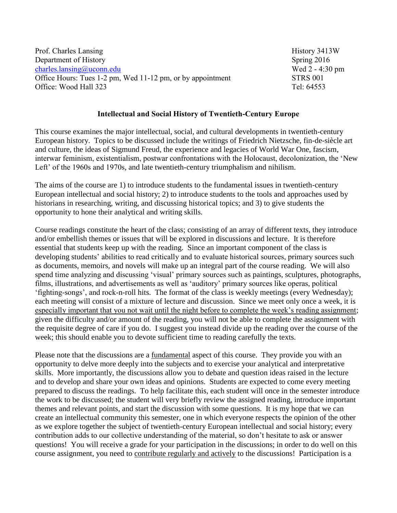Prof. Charles Lansing History 3413W Department of History Spring 2016 [charles.lansing@uconn.edu](mailto:charles.lansing@uconn.edu)Wed 2 - 4:30 pm Office Hours: Tues 1-2 pm, Wed 11-12 pm, or by appointment STRS 001 Office: Wood Hall 323 Tel: 64553

#### **Intellectual and Social History of Twentieth-Century Europe**

This course examines the major intellectual, social, and cultural developments in twentieth-century European history. Topics to be discussed include the writings of Friedrich Nietzsche, fin-de-siècle art and culture, the ideas of Sigmund Freud, the experience and legacies of World War One, fascism, interwar feminism, existentialism, postwar confrontations with the Holocaust, decolonization, the 'New Left' of the 1960s and 1970s, and late twentieth-century triumphalism and nihilism.

The aims of the course are 1) to introduce students to the fundamental issues in twentieth-century European intellectual and social history; 2) to introduce students to the tools and approaches used by historians in researching, writing, and discussing historical topics; and 3) to give students the opportunity to hone their analytical and writing skills.

Course readings constitute the heart of the class; consisting of an array of different texts, they introduce and/or embellish themes or issues that will be explored in discussions and lecture. It is therefore essential that students keep up with the reading. Since an important component of the class is developing students' abilities to read critically and to evaluate historical sources, primary sources such as documents, memoirs, and novels will make up an integral part of the course reading. We will also spend time analyzing and discussing 'visual' primary sources such as paintings, sculptures, photographs, films, illustrations, and advertisements as well as 'auditory' primary sources like operas, political 'fighting-songs', and rock-n-roll hits. The format of the class is weekly meetings (every Wednesday); each meeting will consist of a mixture of lecture and discussion. Since we meet only once a week, it is especially important that you not wait until the night before to complete the week's reading assignment; given the difficulty and/or amount of the reading, you will not be able to complete the assignment with the requisite degree of care if you do. I suggest you instead divide up the reading over the course of the week; this should enable you to devote sufficient time to reading carefully the texts.

Please note that the discussions are a fundamental aspect of this course. They provide you with an opportunity to delve more deeply into the subjects and to exercise your analytical and interpretative skills. More importantly, the discussions allow you to debate and question ideas raised in the lecture and to develop and share your own ideas and opinions. Students are expected to come every meeting prepared to discuss the readings. To help facilitate this, each student will once in the semester introduce the work to be discussed; the student will very briefly review the assigned reading, introduce important themes and relevant points, and start the discussion with some questions. It is my hope that we can create an intellectual community this semester, one in which everyone respects the opinion of the other as we explore together the subject of twentieth-century European intellectual and social history; every contribution adds to our collective understanding of the material, so don't hesitate to ask or answer questions! You will receive a grade for your participation in the discussions; in order to do well on this course assignment, you need to contribute regularly and actively to the discussions! Participation is a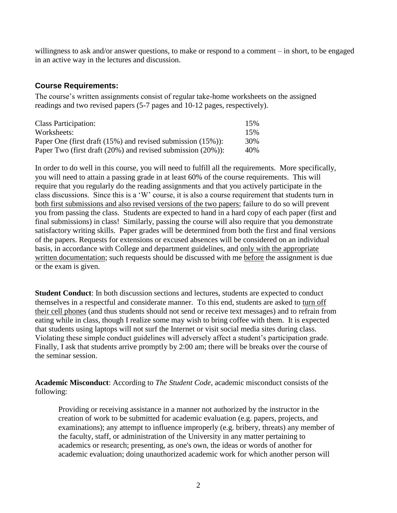willingness to ask and/or answer questions, to make or respond to a comment – in short, to be engaged in an active way in the lectures and discussion.

#### **Course Requirements:**

The course's written assignments consist of regular take-home worksheets on the assigned readings and two revised papers (5-7 pages and 10-12 pages, respectively).

| <b>Class Participation:</b>                                        | 15% |
|--------------------------------------------------------------------|-----|
| Worksheets:                                                        | 15% |
| Paper One (first draft $(15\%)$ and revised submission $(15\%)$ ): | 30% |
| Paper Two (first draft $(20\%)$ and revised submission $(20\%)$ ): | 40% |

In order to do well in this course, you will need to fulfill all the requirements. More specifically, you will need to attain a passing grade in at least 60% of the course requirements. This will require that you regularly do the reading assignments and that you actively participate in the class discussions. Since this is a 'W' course, it is also a course requirement that students turn in both first submissions and also revised versions of the two papers; failure to do so will prevent you from passing the class. Students are expected to hand in a hard copy of each paper (first and final submissions) in class! Similarly, passing the course will also require that you demonstrate satisfactory writing skills. Paper grades will be determined from both the first and final versions of the papers. Requests for extensions or excused absences will be considered on an individual basis, in accordance with College and department guidelines, and only with the appropriate written documentation; such requests should be discussed with me before the assignment is due or the exam is given.

**Student Conduct**: In both discussion sections and lectures, students are expected to conduct themselves in a respectful and considerate manner. To this end, students are asked to turn off their cell phones (and thus students should not send or receive text messages) and to refrain from eating while in class, though I realize some may wish to bring coffee with them. It is expected that students using laptops will not surf the Internet or visit social media sites during class. Violating these simple conduct guidelines will adversely affect a student's participation grade. Finally, I ask that students arrive promptly by 2:00 am; there will be breaks over the course of the seminar session.

**Academic Misconduct**: According to *The Student Code*, academic misconduct consists of the following:

Providing or receiving assistance in a manner not authorized by the instructor in the creation of work to be submitted for academic evaluation (e.g. papers, projects, and examinations); any attempt to influence improperly (e.g. bribery, threats) any member of the faculty, staff, or administration of the University in any matter pertaining to academics or research; presenting, as one's own, the ideas or words of another for academic evaluation; doing unauthorized academic work for which another person will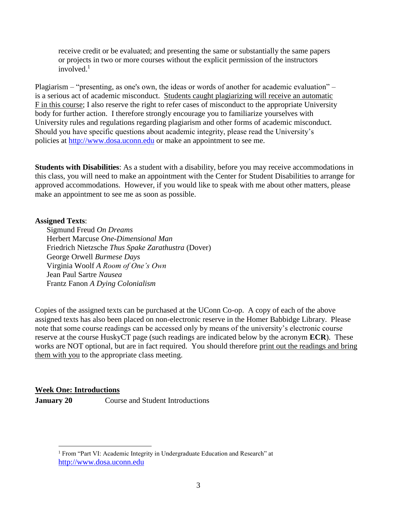receive credit or be evaluated; and presenting the same or substantially the same papers or projects in two or more courses without the explicit permission of the instructors involved. $1$ 

Plagiarism – "presenting, as one's own, the ideas or words of another for academic evaluation" – is a serious act of academic misconduct. Students caught plagiarizing will receive an automatic F in this course; I also reserve the right to refer cases of misconduct to the appropriate University body for further action. I therefore strongly encourage you to familiarize yourselves with University rules and regulations regarding plagiarism and other forms of academic misconduct. Should you have specific questions about academic integrity, please read the University's policies at [http://www.dosa.uconn.edu](http://www.dosa.uconn.edu/) or make an appointment to see me.

**Students with Disabilities**: As a student with a disability, before you may receive accommodations in this class, you will need to make an appointment with the Center for Student Disabilities to arrange for approved accommodations. However, if you would like to speak with me about other matters, please make an appointment to see me as soon as possible.

#### **Assigned Texts**:

Sigmund Freud *On Dreams* Herbert Marcuse *One-Dimensional Man* Friedrich Nietzsche *Thus Spake Zarathustra* (Dover) George Orwell *Burmese Days* Virginia Woolf *A Room of One's Own* Jean Paul Sartre *Nausea* Frantz Fanon *A Dying Colonialism*

Copies of the assigned texts can be purchased at the UConn Co-op. A copy of each of the above assigned texts has also been placed on non-electronic reserve in the Homer Babbidge Library. Please note that some course readings can be accessed only by means of the university's electronic course reserve at the course HuskyCT page (such readings are indicated below by the acronym **ECR**). These works are NOT optional, but are in fact required. You should therefore print out the readings and bring them with you to the appropriate class meeting.

#### **Week One: Introductions**

 $\overline{a}$ 

**January 20** Course and Student Introductions

<sup>&</sup>lt;sup>1</sup> From "Part VI: Academic Integrity in Undergraduate Education and Research" at [http://www.dosa.uconn.edu](http://www.dosa.uconn.edu/)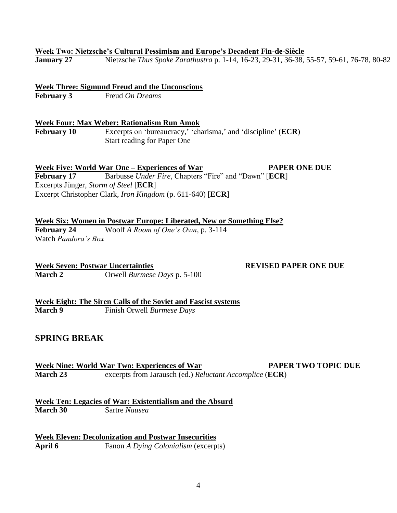#### **Week Two: Nietzsche's Cultural Pessimism and Europe's Decadent Fin-de-Siècle**

**January 27** Nietzsche *Thus Spoke Zarathustra* p. 1-14, 16-23, 29-31, 36-38, 55-57, 59-61, 76-78, 80-82

**Week Three: Sigmund Freud and the Unconscious**

**February 3** Freud *On Dreams*

**Week Four: Max Weber: Rationalism Run Amok February 10** Excerpts on 'bureaucracy,' 'charisma,' and 'discipline' (**ECR**) Start reading for Paper One

**Week Five: World War One – Experiences of War PAPER ONE DUE February 17** Barbusse *Under Fire*, Chapters "Fire" and "Dawn" [**ECR**] Excerpts Jünger, *Storm of Steel* [**ECR**] Excerpt Christopher Clark, *Iron Kingdom* (p. 611-640) [**ECR**]

# **Week Six: Women in Postwar Europe: Liberated, New or Something Else?**

**February 24** Woolf *A Room of One's Own*, p. 3-114 Watch *Pandora's Box*

**Week Seven: Postwar Uncertainties REVISED PAPER ONE DUE March 2** Orwell *Burmese Days* p. 5-100

**Week Eight: The Siren Calls of the Soviet and Fascist systems March 9** Finish Orwell *Burmese Days*

## **SPRING BREAK**

**Week Nine: World War Two: Experiences of War PAPER TWO TOPIC DUE March 23** excerpts from Jarausch (ed.) *Reluctant Accomplice* (**ECR**)

**Week Ten: Legacies of War: Existentialism and the Absurd March 30** Sartre *Nausea*

**Week Eleven: Decolonization and Postwar Insecurities April 6** Fanon *A Dying Colonialism* (excerpts)